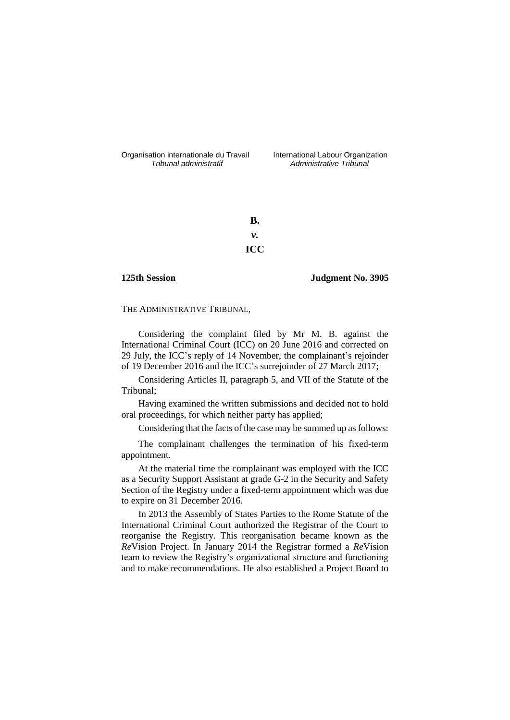Organisation internationale du Travail International Labour Organization<br>*Tribunal administratif Administrative Tribunal* 

*Tribunal administratif Administrative Tribunal*

**B.** *v.* **ICC**

# **125th Session Judgment No. 3905**

THE ADMINISTRATIVE TRIBUNAL,

Considering the complaint filed by Mr M. B. against the International Criminal Court (ICC) on 20 June 2016 and corrected on 29 July, the ICC's reply of 14 November, the complainant's rejoinder of 19 December 2016 and the ICC's surrejoinder of 27 March 2017;

Considering Articles II, paragraph 5, and VII of the Statute of the Tribunal;

Having examined the written submissions and decided not to hold oral proceedings, for which neither party has applied;

Considering that the facts of the case may be summed up as follows:

The complainant challenges the termination of his fixed-term appointment.

At the material time the complainant was employed with the ICC as a Security Support Assistant at grade G-2 in the Security and Safety Section of the Registry under a fixed-term appointment which was due to expire on 31 December 2016.

In 2013 the Assembly of States Parties to the Rome Statute of the International Criminal Court authorized the Registrar of the Court to reorganise the Registry. This reorganisation became known as the *Re*Vision Project. In January 2014 the Registrar formed a *Re*Vision team to review the Registry's organizational structure and functioning and to make recommendations. He also established a Project Board to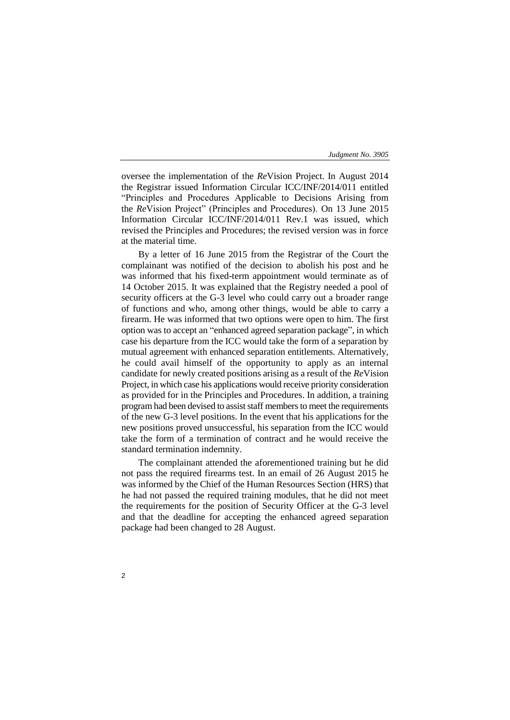oversee the implementation of the *Re*Vision Project. In August 2014 the Registrar issued Information Circular ICC/INF/2014/011 entitled "Principles and Procedures Applicable to Decisions Arising from the *Re*Vision Project" (Principles and Procedures). On 13 June 2015 Information Circular ICC/INF/2014/011 Rev.1 was issued, which revised the Principles and Procedures; the revised version was in force at the material time.

By a letter of 16 June 2015 from the Registrar of the Court the complainant was notified of the decision to abolish his post and he was informed that his fixed-term appointment would terminate as of 14 October 2015. It was explained that the Registry needed a pool of security officers at the G-3 level who could carry out a broader range of functions and who, among other things, would be able to carry a firearm. He was informed that two options were open to him. The first option was to accept an "enhanced agreed separation package", in which case his departure from the ICC would take the form of a separation by mutual agreement with enhanced separation entitlements. Alternatively, he could avail himself of the opportunity to apply as an internal candidate for newly created positions arising as a result of the *Re*Vision Project, in which case his applications would receive priority consideration as provided for in the Principles and Procedures. In addition, a training program had been devised to assist staff members to meet the requirements of the new G-3 level positions. In the event that his applications for the new positions proved unsuccessful, his separation from the ICC would take the form of a termination of contract and he would receive the standard termination indemnity.

The complainant attended the aforementioned training but he did not pass the required firearms test. In an email of 26 August 2015 he was informed by the Chief of the Human Resources Section (HRS) that he had not passed the required training modules, that he did not meet the requirements for the position of Security Officer at the G-3 level and that the deadline for accepting the enhanced agreed separation package had been changed to 28 August.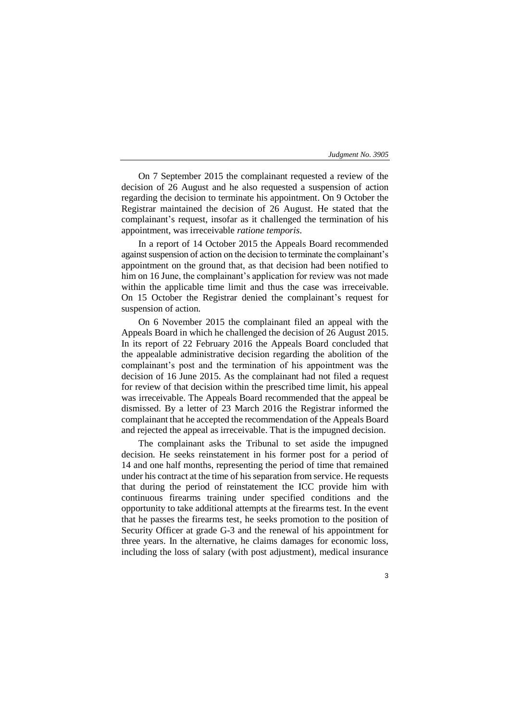On 7 September 2015 the complainant requested a review of the decision of 26 August and he also requested a suspension of action regarding the decision to terminate his appointment. On 9 October the Registrar maintained the decision of 26 August. He stated that the complainant's request, insofar as it challenged the termination of his appointment, was irreceivable *ratione temporis*.

In a report of 14 October 2015 the Appeals Board recommended against suspension of action on the decision to terminate the complainant's appointment on the ground that, as that decision had been notified to him on 16 June, the complainant's application for review was not made within the applicable time limit and thus the case was irreceivable. On 15 October the Registrar denied the complainant's request for suspension of action.

On 6 November 2015 the complainant filed an appeal with the Appeals Board in which he challenged the decision of 26 August 2015. In its report of 22 February 2016 the Appeals Board concluded that the appealable administrative decision regarding the abolition of the complainant's post and the termination of his appointment was the decision of 16 June 2015. As the complainant had not filed a request for review of that decision within the prescribed time limit, his appeal was irreceivable. The Appeals Board recommended that the appeal be dismissed. By a letter of 23 March 2016 the Registrar informed the complainant that he accepted the recommendation of the Appeals Board and rejected the appeal as irreceivable. That is the impugned decision.

The complainant asks the Tribunal to set aside the impugned decision. He seeks reinstatement in his former post for a period of 14 and one half months, representing the period of time that remained under his contract at the time of his separation from service. He requests that during the period of reinstatement the ICC provide him with continuous firearms training under specified conditions and the opportunity to take additional attempts at the firearms test. In the event that he passes the firearms test, he seeks promotion to the position of Security Officer at grade G-3 and the renewal of his appointment for three years. In the alternative, he claims damages for economic loss, including the loss of salary (with post adjustment), medical insurance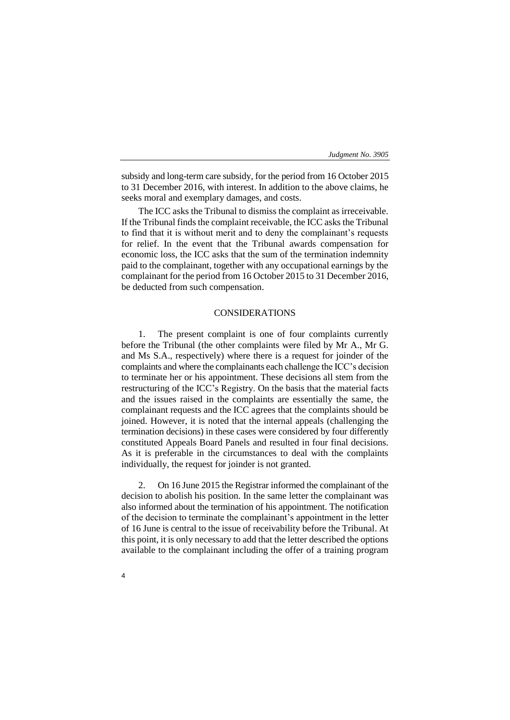subsidy and long-term care subsidy, for the period from 16 October 2015 to 31 December 2016, with interest. In addition to the above claims, he seeks moral and exemplary damages, and costs.

The ICC asks the Tribunal to dismiss the complaint as irreceivable. If the Tribunal finds the complaint receivable, the ICC asks the Tribunal to find that it is without merit and to deny the complainant's requests for relief. In the event that the Tribunal awards compensation for economic loss, the ICC asks that the sum of the termination indemnity paid to the complainant, together with any occupational earnings by the complainant for the period from 16 October 2015 to 31 December 2016, be deducted from such compensation.

# CONSIDERATIONS

1. The present complaint is one of four complaints currently before the Tribunal (the other complaints were filed by Mr A., Mr G. and Ms S.A., respectively) where there is a request for joinder of the complaints and where the complainants each challenge the ICC's decision to terminate her or his appointment. These decisions all stem from the restructuring of the ICC's Registry. On the basis that the material facts and the issues raised in the complaints are essentially the same, the complainant requests and the ICC agrees that the complaints should be joined. However, it is noted that the internal appeals (challenging the termination decisions) in these cases were considered by four differently constituted Appeals Board Panels and resulted in four final decisions. As it is preferable in the circumstances to deal with the complaints individually, the request for joinder is not granted.

2. On 16 June 2015 the Registrar informed the complainant of the decision to abolish his position. In the same letter the complainant was also informed about the termination of his appointment. The notification of the decision to terminate the complainant's appointment in the letter of 16 June is central to the issue of receivability before the Tribunal. At this point, it is only necessary to add that the letter described the options available to the complainant including the offer of a training program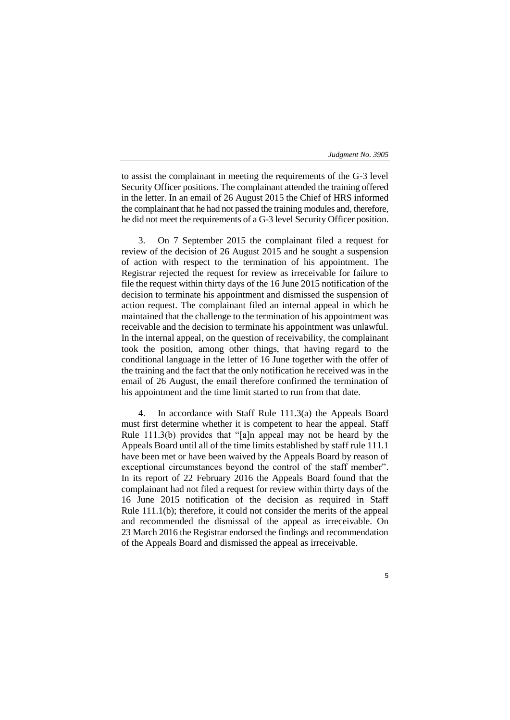to assist the complainant in meeting the requirements of the G-3 level Security Officer positions. The complainant attended the training offered in the letter. In an email of 26 August 2015 the Chief of HRS informed the complainant that he had not passed the training modules and, therefore, he did not meet the requirements of a G-3 level Security Officer position.

3. On 7 September 2015 the complainant filed a request for review of the decision of 26 August 2015 and he sought a suspension of action with respect to the termination of his appointment. The Registrar rejected the request for review as irreceivable for failure to file the request within thirty days of the 16 June 2015 notification of the decision to terminate his appointment and dismissed the suspension of action request. The complainant filed an internal appeal in which he maintained that the challenge to the termination of his appointment was receivable and the decision to terminate his appointment was unlawful. In the internal appeal, on the question of receivability, the complainant took the position, among other things, that having regard to the conditional language in the letter of 16 June together with the offer of the training and the fact that the only notification he received was in the email of 26 August, the email therefore confirmed the termination of his appointment and the time limit started to run from that date.

4. In accordance with Staff Rule 111.3(a) the Appeals Board must first determine whether it is competent to hear the appeal. Staff Rule 111.3(b) provides that "[a]n appeal may not be heard by the Appeals Board until all of the time limits established by staff rule 111.1 have been met or have been waived by the Appeals Board by reason of exceptional circumstances beyond the control of the staff member". In its report of 22 February 2016 the Appeals Board found that the complainant had not filed a request for review within thirty days of the 16 June 2015 notification of the decision as required in Staff Rule 111.1(b); therefore, it could not consider the merits of the appeal and recommended the dismissal of the appeal as irreceivable. On 23 March 2016 the Registrar endorsed the findings and recommendation of the Appeals Board and dismissed the appeal as irreceivable.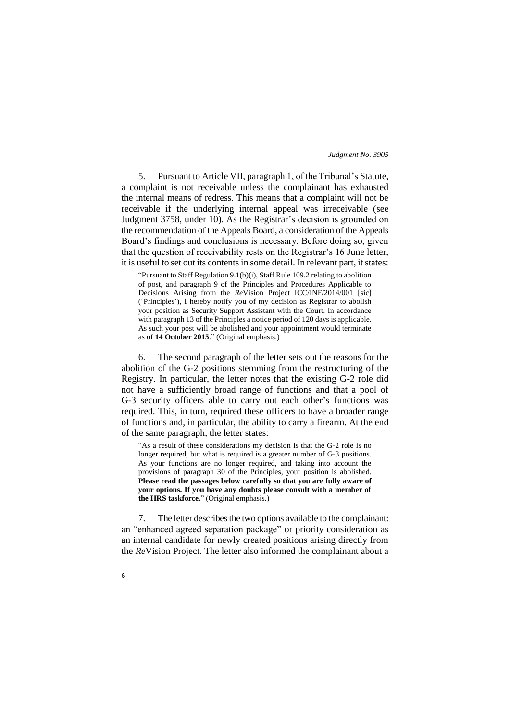5. Pursuant to Article VII, paragraph 1, of the Tribunal's Statute, a complaint is not receivable unless the complainant has exhausted the internal means of redress. This means that a complaint will not be receivable if the underlying internal appeal was irreceivable (see Judgment 3758, under 10). As the Registrar's decision is grounded on the recommendation of the Appeals Board, a consideration of the Appeals Board's findings and conclusions is necessary. Before doing so, given that the question of receivability rests on the Registrar's 16 June letter, it is useful to set out its contents in some detail. In relevant part, it states:

"Pursuant to Staff Regulation 9.1(b)(i), Staff Rule 109.2 relating to abolition of post, and paragraph 9 of the Principles and Procedures Applicable to Decisions Arising from the *Re*Vision Project ICC/INF/2014/001 [sic] ('Principles'), I hereby notify you of my decision as Registrar to abolish your position as Security Support Assistant with the Court. In accordance with paragraph 13 of the Principles a notice period of 120 days is applicable. As such your post will be abolished and your appointment would terminate as of **14 October 2015**." (Original emphasis.)

6. The second paragraph of the letter sets out the reasons for the abolition of the G-2 positions stemming from the restructuring of the Registry. In particular, the letter notes that the existing G-2 role did not have a sufficiently broad range of functions and that a pool of G-3 security officers able to carry out each other's functions was required. This, in turn, required these officers to have a broader range of functions and, in particular, the ability to carry a firearm. At the end of the same paragraph, the letter states:

"As a result of these considerations my decision is that the G-2 role is no longer required, but what is required is a greater number of G-3 positions. As your functions are no longer required, and taking into account the provisions of paragraph 30 of the Principles, your position is abolished. **Please read the passages below carefully so that you are fully aware of your options. If you have any doubts please consult with a member of the HRS taskforce.**" (Original emphasis.)

7. The letter describes the two options available to the complainant: an "enhanced agreed separation package" or priority consideration as an internal candidate for newly created positions arising directly from the *Re*Vision Project. The letter also informed the complainant about a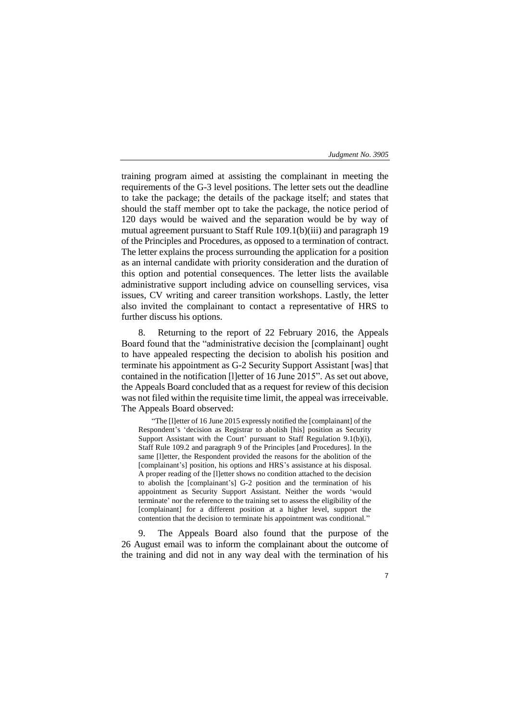training program aimed at assisting the complainant in meeting the requirements of the G-3 level positions. The letter sets out the deadline to take the package; the details of the package itself; and states that should the staff member opt to take the package, the notice period of 120 days would be waived and the separation would be by way of mutual agreement pursuant to Staff Rule 109.1(b)(iii) and paragraph 19 of the Principles and Procedures, as opposed to a termination of contract. The letter explains the process surrounding the application for a position as an internal candidate with priority consideration and the duration of this option and potential consequences. The letter lists the available administrative support including advice on counselling services, visa issues, CV writing and career transition workshops. Lastly, the letter also invited the complainant to contact a representative of HRS to further discuss his options.

8. Returning to the report of 22 February 2016, the Appeals Board found that the "administrative decision the [complainant] ought to have appealed respecting the decision to abolish his position and terminate his appointment as G-2 Security Support Assistant [was] that contained in the notification [l]etter of 16 June 2015". As set out above, the Appeals Board concluded that as a request for review of this decision was not filed within the requisite time limit, the appeal was irreceivable. The Appeals Board observed:

"The [l]etter of 16 June 2015 expressly notified the [complainant] of the Respondent's 'decision as Registrar to abolish [his] position as Security Support Assistant with the Court' pursuant to Staff Regulation 9.1(b)(i), Staff Rule 109.2 and paragraph 9 of the Principles [and Procedures]. In the same [l]etter, the Respondent provided the reasons for the abolition of the [complainant's] position, his options and HRS's assistance at his disposal. A proper reading of the [l]etter shows no condition attached to the decision to abolish the [complainant's] G-2 position and the termination of his appointment as Security Support Assistant. Neither the words 'would terminate' nor the reference to the training set to assess the eligibility of the [complainant] for a different position at a higher level, support the contention that the decision to terminate his appointment was conditional."

9. The Appeals Board also found that the purpose of the 26 August email was to inform the complainant about the outcome of the training and did not in any way deal with the termination of his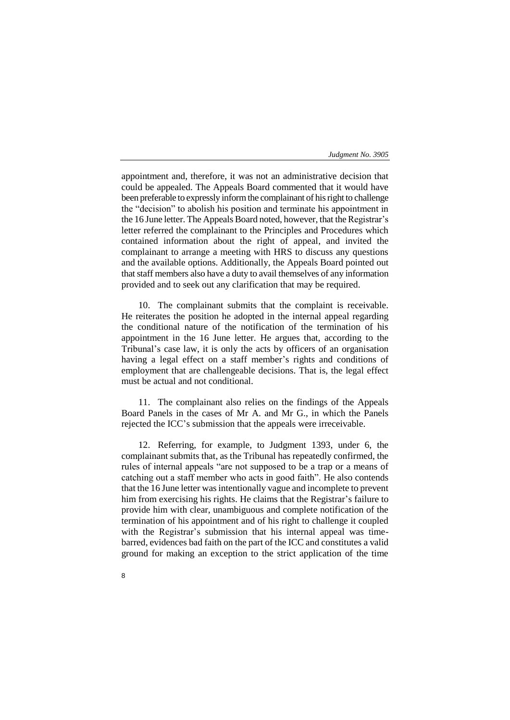appointment and, therefore, it was not an administrative decision that could be appealed. The Appeals Board commented that it would have been preferable to expressly inform the complainant of his right to challenge the "decision" to abolish his position and terminate his appointment in the 16 June letter. The Appeals Board noted, however, that the Registrar's letter referred the complainant to the Principles and Procedures which contained information about the right of appeal, and invited the complainant to arrange a meeting with HRS to discuss any questions and the available options. Additionally, the Appeals Board pointed out that staff members also have a duty to avail themselves of any information provided and to seek out any clarification that may be required.

10. The complainant submits that the complaint is receivable. He reiterates the position he adopted in the internal appeal regarding the conditional nature of the notification of the termination of his appointment in the 16 June letter. He argues that, according to the Tribunal's case law, it is only the acts by officers of an organisation having a legal effect on a staff member's rights and conditions of employment that are challengeable decisions. That is, the legal effect must be actual and not conditional.

11. The complainant also relies on the findings of the Appeals Board Panels in the cases of Mr A. and Mr G., in which the Panels rejected the ICC's submission that the appeals were irreceivable.

12. Referring, for example, to Judgment 1393, under 6, the complainant submits that, as the Tribunal has repeatedly confirmed, the rules of internal appeals "are not supposed to be a trap or a means of catching out a staff member who acts in good faith". He also contends that the 16 June letter was intentionally vague and incomplete to prevent him from exercising his rights. He claims that the Registrar's failure to provide him with clear, unambiguous and complete notification of the termination of his appointment and of his right to challenge it coupled with the Registrar's submission that his internal appeal was timebarred, evidences bad faith on the part of the ICC and constitutes a valid ground for making an exception to the strict application of the time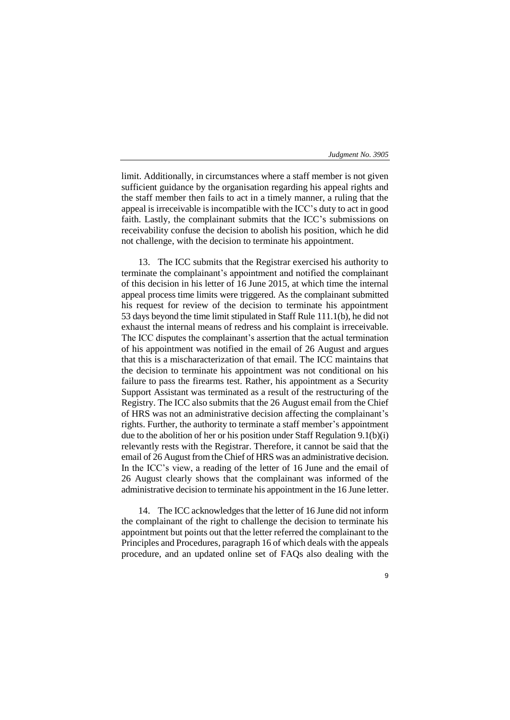limit. Additionally, in circumstances where a staff member is not given sufficient guidance by the organisation regarding his appeal rights and the staff member then fails to act in a timely manner, a ruling that the appeal is irreceivable is incompatible with the ICC's duty to act in good faith. Lastly, the complainant submits that the ICC's submissions on receivability confuse the decision to abolish his position, which he did not challenge, with the decision to terminate his appointment.

13. The ICC submits that the Registrar exercised his authority to terminate the complainant's appointment and notified the complainant of this decision in his letter of 16 June 2015, at which time the internal appeal process time limits were triggered. As the complainant submitted his request for review of the decision to terminate his appointment 53 days beyond the time limit stipulated in Staff Rule 111.1(b), he did not exhaust the internal means of redress and his complaint is irreceivable. The ICC disputes the complainant's assertion that the actual termination of his appointment was notified in the email of 26 August and argues that this is a mischaracterization of that email. The ICC maintains that the decision to terminate his appointment was not conditional on his failure to pass the firearms test. Rather, his appointment as a Security Support Assistant was terminated as a result of the restructuring of the Registry. The ICC also submits that the 26 August email from the Chief of HRS was not an administrative decision affecting the complainant's rights. Further, the authority to terminate a staff member's appointment due to the abolition of her or his position under Staff Regulation 9.1(b)(i) relevantly rests with the Registrar. Therefore, it cannot be said that the email of 26 August from the Chief of HRS was an administrative decision. In the ICC's view, a reading of the letter of 16 June and the email of 26 August clearly shows that the complainant was informed of the administrative decision to terminate his appointment in the 16 June letter.

14. The ICC acknowledges that the letter of 16 June did not inform the complainant of the right to challenge the decision to terminate his appointment but points out that the letter referred the complainant to the Principles and Procedures, paragraph 16 of which deals with the appeals procedure, and an updated online set of FAQs also dealing with the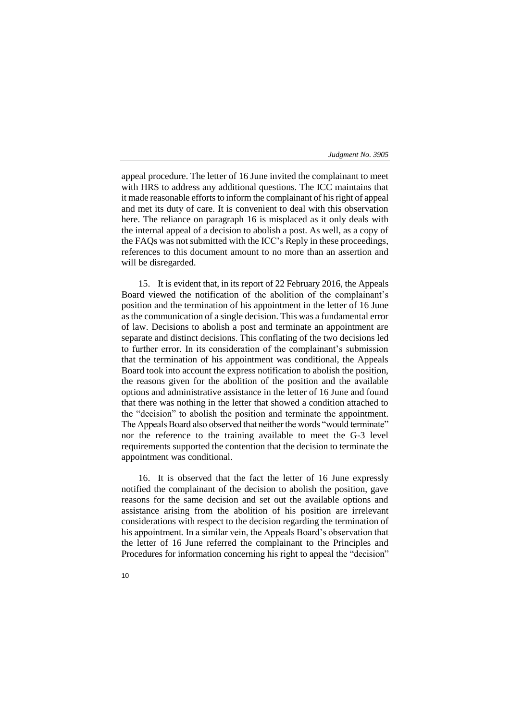appeal procedure. The letter of 16 June invited the complainant to meet with HRS to address any additional questions. The ICC maintains that it made reasonable efforts to inform the complainant of his right of appeal and met its duty of care. It is convenient to deal with this observation here. The reliance on paragraph 16 is misplaced as it only deals with the internal appeal of a decision to abolish a post. As well, as a copy of the FAQs was not submitted with the ICC's Reply in these proceedings, references to this document amount to no more than an assertion and will be disregarded.

15. It is evident that, in its report of 22 February 2016, the Appeals Board viewed the notification of the abolition of the complainant's position and the termination of his appointment in the letter of 16 June as the communication of a single decision. This was a fundamental error of law. Decisions to abolish a post and terminate an appointment are separate and distinct decisions. This conflating of the two decisions led to further error. In its consideration of the complainant's submission that the termination of his appointment was conditional, the Appeals Board took into account the express notification to abolish the position, the reasons given for the abolition of the position and the available options and administrative assistance in the letter of 16 June and found that there was nothing in the letter that showed a condition attached to the "decision" to abolish the position and terminate the appointment. The Appeals Board also observed that neither the words "would terminate" nor the reference to the training available to meet the G-3 level requirements supported the contention that the decision to terminate the appointment was conditional.

16. It is observed that the fact the letter of 16 June expressly notified the complainant of the decision to abolish the position, gave reasons for the same decision and set out the available options and assistance arising from the abolition of his position are irrelevant considerations with respect to the decision regarding the termination of his appointment. In a similar vein, the Appeals Board's observation that the letter of 16 June referred the complainant to the Principles and Procedures for information concerning his right to appeal the "decision"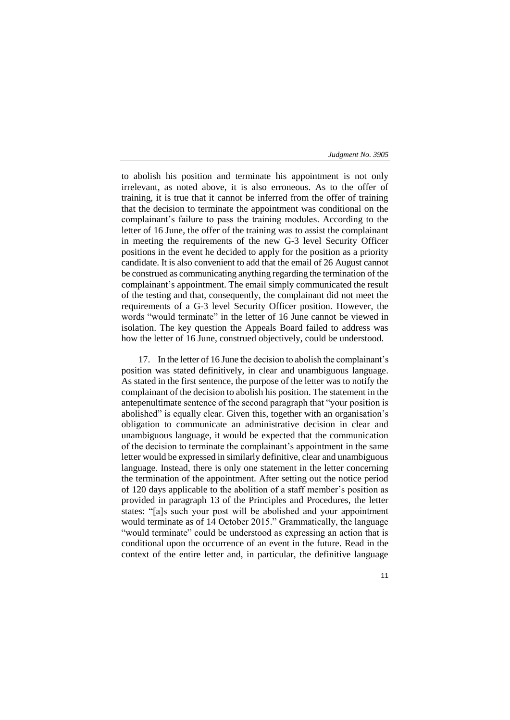to abolish his position and terminate his appointment is not only irrelevant, as noted above, it is also erroneous. As to the offer of training, it is true that it cannot be inferred from the offer of training that the decision to terminate the appointment was conditional on the complainant's failure to pass the training modules. According to the letter of 16 June, the offer of the training was to assist the complainant in meeting the requirements of the new G-3 level Security Officer positions in the event he decided to apply for the position as a priority candidate. It is also convenient to add that the email of 26 August cannot be construed as communicating anything regarding the termination of the complainant's appointment. The email simply communicated the result of the testing and that, consequently, the complainant did not meet the requirements of a G-3 level Security Officer position. However, the words "would terminate" in the letter of 16 June cannot be viewed in isolation. The key question the Appeals Board failed to address was how the letter of 16 June, construed objectively, could be understood.

17. In the letter of 16 June the decision to abolish the complainant's position was stated definitively, in clear and unambiguous language. As stated in the first sentence, the purpose of the letter was to notify the complainant of the decision to abolish his position. The statement in the antepenultimate sentence of the second paragraph that "your position is abolished" is equally clear. Given this, together with an organisation's obligation to communicate an administrative decision in clear and unambiguous language, it would be expected that the communication of the decision to terminate the complainant's appointment in the same letter would be expressed in similarly definitive, clear and unambiguous language. Instead, there is only one statement in the letter concerning the termination of the appointment. After setting out the notice period of 120 days applicable to the abolition of a staff member's position as provided in paragraph 13 of the Principles and Procedures, the letter states: "[a]s such your post will be abolished and your appointment would terminate as of 14 October 2015." Grammatically, the language "would terminate" could be understood as expressing an action that is conditional upon the occurrence of an event in the future. Read in the context of the entire letter and, in particular, the definitive language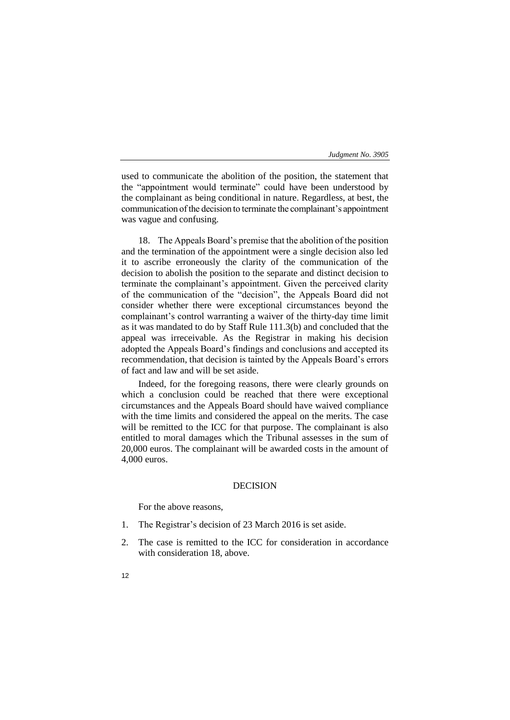used to communicate the abolition of the position, the statement that the "appointment would terminate" could have been understood by the complainant as being conditional in nature. Regardless, at best, the communication of the decision to terminate the complainant's appointment was vague and confusing.

18. The Appeals Board's premise that the abolition of the position and the termination of the appointment were a single decision also led it to ascribe erroneously the clarity of the communication of the decision to abolish the position to the separate and distinct decision to terminate the complainant's appointment. Given the perceived clarity of the communication of the "decision", the Appeals Board did not consider whether there were exceptional circumstances beyond the complainant's control warranting a waiver of the thirty-day time limit as it was mandated to do by Staff Rule 111.3(b) and concluded that the appeal was irreceivable. As the Registrar in making his decision adopted the Appeals Board's findings and conclusions and accepted its recommendation, that decision is tainted by the Appeals Board's errors of fact and law and will be set aside.

Indeed, for the foregoing reasons, there were clearly grounds on which a conclusion could be reached that there were exceptional circumstances and the Appeals Board should have waived compliance with the time limits and considered the appeal on the merits. The case will be remitted to the ICC for that purpose. The complainant is also entitled to moral damages which the Tribunal assesses in the sum of 20,000 euros. The complainant will be awarded costs in the amount of 4,000 euros.

# **DECISION**

For the above reasons,

- 1. The Registrar's decision of 23 March 2016 is set aside.
- 2. The case is remitted to the ICC for consideration in accordance with consideration 18, above.
- 12